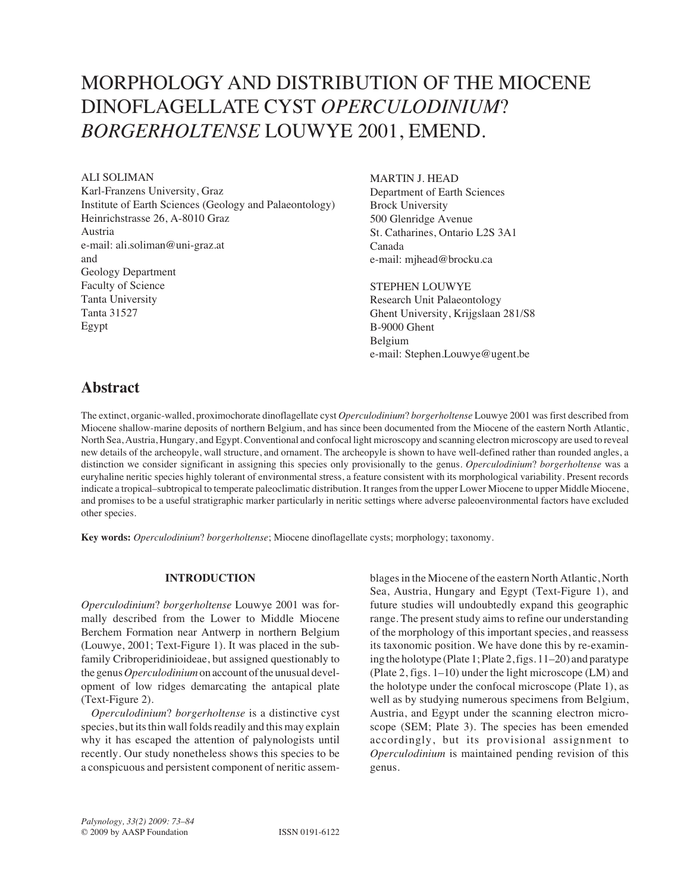# A. Soliman, M.J. Head, and S. Louwye: Miocene dinoflagellate cyst *Operculodinium*? *borgerholtense* Louwye 2001, emend. <sup>73</sup> MORPHOLOGY AND DISTRIBUTION OF THE MIOCENE DINOFLAGELLATE CYST *OPERCULODINIUM*? *BORGERHOLTENSE* LOUWYE 2001, EMEND.

## ALI SOLIMAN

Karl-Franzens University, Graz Institute of Earth Sciences (Geology and Palaeontology) Heinrichstrasse 26, A-8010 Graz Austria e-mail: ali.soliman@uni-graz.at and Geology Department Faculty of Science Tanta University Tanta 31527 Egypt

# MARTIN J. HEAD

Department of Earth Sciences Brock University 500 Glenridge Avenue St. Catharines, Ontario L2S 3A1 Canada e-mail: mjhead@brocku.ca

# STEPHEN LOUWYE

Research Unit Palaeontology Ghent University, Krijgslaan 281/S8 B-9000 Ghent Belgium e-mail: Stephen.Louwye@ugent.be

# **Abstract**

The extinct, organic-walled, proximochorate dinoflagellate cyst *Operculodinium*? *borgerholtense* Louwye 2001 was first described from Miocene shallow-marine deposits of northern Belgium, and has since been documented from the Miocene of the eastern North Atlantic, North Sea, Austria, Hungary, and Egypt. Conventional and confocal light microscopy and scanning electron microscopy are used to reveal new details of the archeopyle, wall structure, and ornament. The archeopyle is shown to have well-defined rather than rounded angles, a distinction we consider significant in assigning this species only provisionally to the genus. *Operculodinium*? *borgerholtense* was a euryhaline neritic species highly tolerant of environmental stress, a feature consistent with its morphological variability. Present records indicate a tropical–subtropical to temperate paleoclimatic distribution. It ranges from the upper Lower Miocene to upper Middle Miocene, and promises to be a useful stratigraphic marker particularly in neritic settings where adverse paleoenvironmental factors have excluded other species.

**Key words:** *Operculodinium*? *borgerholtense*; Miocene dinoflagellate cysts; morphology; taxonomy.

## **INTRODUCTION**

*Operculodinium*? *borgerholtense* Louwye 2001 was formally described from the Lower to Middle Miocene Berchem Formation near Antwerp in northern Belgium (Louwye, 2001; Text-Figure 1). It was placed in the subfamily Cribroperidinioideae, but assigned questionably to the genus *Operculodinium* on account of the unusual development of low ridges demarcating the antapical plate (Text-Figure 2).

*Operculodinium*? *borgerholtense* is a distinctive cyst species, but its thin wall folds readily and this may explain why it has escaped the attention of palynologists until recently. Our study nonetheless shows this species to be a conspicuous and persistent component of neritic assemblages in the Miocene of the eastern North Atlantic, North Sea, Austria, Hungary and Egypt (Text-Figure 1), and future studies will undoubtedly expand this geographic range. The present study aims to refine our understanding of the morphology of this important species, and reassess its taxonomic position. We have done this by re-examining the holotype (Plate 1; Plate 2, figs. 11–20) and paratype (Plate 2, figs. 1–10) under the light microscope (LM) and the holotype under the confocal microscope (Plate 1), as well as by studying numerous specimens from Belgium, Austria, and Egypt under the scanning electron microscope (SEM; Plate 3). The species has been emended accordingly, but its provisional assignment to *Operculodinium* is maintained pending revision of this genus.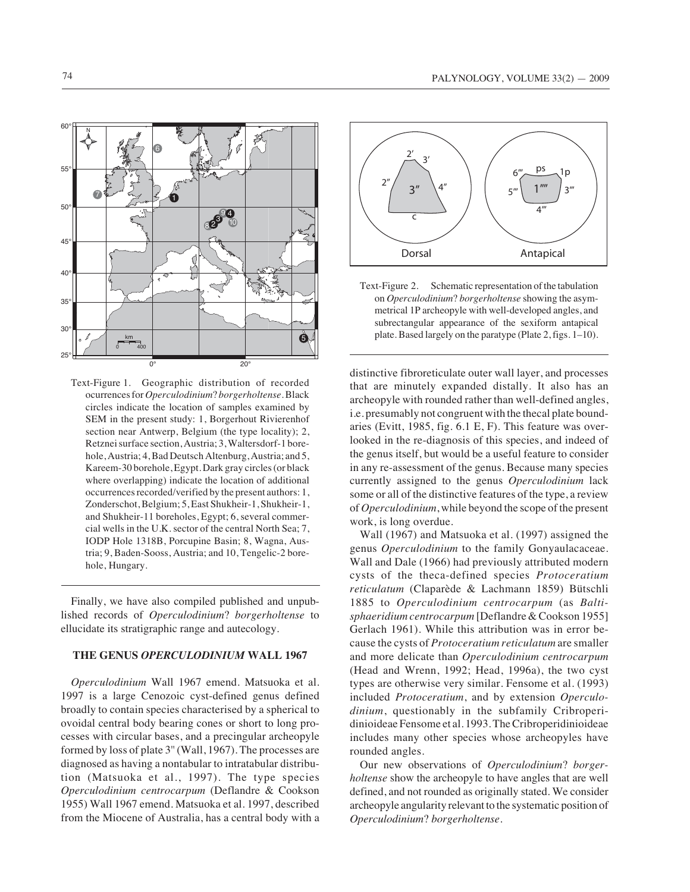

Text-Figure 1. Geographic distribution of recorded ocurrences for *Operculodinium*? *borgerholtense*. Black circles indicate the location of samples examined by SEM in the present study: 1, Borgerhout Rivierenhof section near Antwerp, Belgium (the type locality); 2, Retznei surface section, Austria; 3, Waltersdorf-1 borehole, Austria; 4, Bad Deutsch Altenburg, Austria; and 5, Kareem-30 borehole, Egypt. Dark gray circles (or black where overlapping) indicate the location of additional occurrences recorded/verified by the present authors: 1, Zonderschot, Belgium; 5, East Shukheir-1, Shukheir-1, and Shukheir-11 boreholes, Egypt; 6, several commercial wells in the U.K. sector of the central North Sea; 7, IODP Hole 1318B, Porcupine Basin; 8, Wagna, Austria; 9, Baden-Sooss, Austria; and 10, Tengelic-2 borehole, Hungary.

Finally, we have also compiled published and unpublished records of *Operculodinium*? *borgerholtense* to ellucidate its stratigraphic range and autecology.

### **THE GENUS** *OPERCULODINIUM* **WALL 1967**

*Operculodinium* Wall 1967 emend. Matsuoka et al. 1997 is a large Cenozoic cyst-defined genus defined broadly to contain species characterised by a spherical to ovoidal central body bearing cones or short to long processes with circular bases, and a precingular archeopyle formed by loss of plate 3'' (Wall, 1967). The processes are diagnosed as having a nontabular to intratabular distribution (Matsuoka et al., 1997). The type species *Operculodinium centrocarpum* (Deflandre & Cookson 1955) Wall 1967 emend. Matsuoka et al. 1997, described from the Miocene of Australia, has a central body with a



Text-Figure 2. Schematic representation of the tabulation on *Operculodinium*? *borgerholtense* showing the asymmetrical 1P archeopyle with well-developed angles, and subrectangular appearance of the sexiform antapical plate. Based largely on the paratype (Plate 2, figs. 1–10).

distinctive fibroreticulate outer wall layer, and processes that are minutely expanded distally. It also has an archeopyle with rounded rather than well-defined angles, i.e. presumably not congruent with the thecal plate boundaries (Evitt, 1985, fig. 6.1 E, F). This feature was overlooked in the re-diagnosis of this species, and indeed of the genus itself, but would be a useful feature to consider in any re-assessment of the genus. Because many species currently assigned to the genus *Operculodinium* lack some or all of the distinctive features of the type, a review of *Operculodinium*, while beyond the scope of the present work, is long overdue.

Wall (1967) and Matsuoka et al. (1997) assigned the genus *Operculodinium* to the family Gonyaulacaceae. Wall and Dale (1966) had previously attributed modern cysts of the theca-defined species *Protoceratium reticulatum* (Claparède & Lachmann 1859) Bütschli 1885 to *Operculodinium centrocarpum* (as *Baltisphaeridium centrocarpum* [Deflandre & Cookson 1955] Gerlach 1961). While this attribution was in error because the cysts of *Protoceratium reticulatum* are smaller and more delicate than *Operculodinium centrocarpum* (Head and Wrenn, 1992; Head, 1996a), the two cyst types are otherwise very similar. Fensome et al. (1993) included *Protoceratium*, and by extension *Operculodinium*, questionably in the subfamily Cribroperidinioideae Fensome et al. 1993. The Cribroperidinioideae includes many other species whose archeopyles have rounded angles.

Our new observations of *Operculodinium*? *borgerholtense* show the archeopyle to have angles that are well defined, and not rounded as originally stated. We consider archeopyle angularity relevant to the systematic position of *Operculodinium*? *borgerholtense*.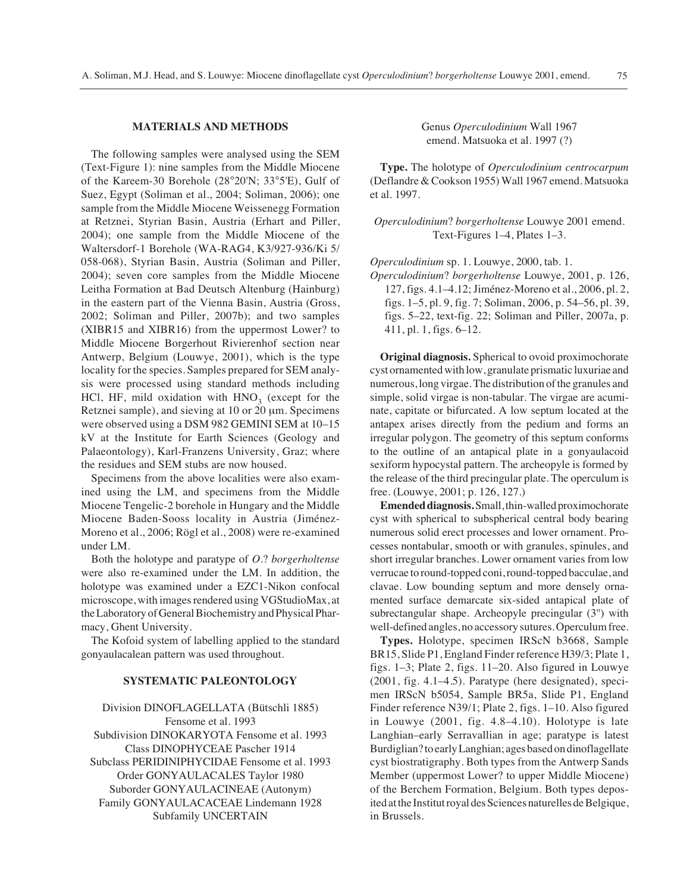### **MATERIALS AND METHODS**

The following samples were analysed using the SEM (Text-Figure 1): nine samples from the Middle Miocene of the Kareem-30 Borehole (28°20'N; 33°5'E), Gulf of Suez, Egypt (Soliman et al., 2004; Soliman, 2006); one sample from the Middle Miocene Weissenegg Formation at Retznei, Styrian Basin, Austria (Erhart and Piller, 2004); one sample from the Middle Miocene of the Waltersdorf-1 Borehole (WA-RAG4, K3/927-936/Ki 5/ 058-068), Styrian Basin, Austria (Soliman and Piller, 2004); seven core samples from the Middle Miocene Leitha Formation at Bad Deutsch Altenburg (Hainburg) in the eastern part of the Vienna Basin, Austria (Gross, 2002; Soliman and Piller, 2007b); and two samples (XIBR15 and XIBR16) from the uppermost Lower? to Middle Miocene Borgerhout Rivierenhof section near Antwerp, Belgium (Louwye, 2001), which is the type locality for the species. Samples prepared for SEM analysis were processed using standard methods including HCl, HF, mild oxidation with  $HNO<sub>3</sub>$  (except for the Retznei sample), and sieving at 10 or 20 μm. Specimens were observed using a DSM 982 GEMINI SEM at 10–15 kV at the Institute for Earth Sciences (Geology and Palaeontology), Karl-Franzens University, Graz; where the residues and SEM stubs are now housed.

Specimens from the above localities were also examined using the LM, and specimens from the Middle Miocene Tengelic-2 borehole in Hungary and the Middle Miocene Baden-Sooss locality in Austria (Jiménez-Moreno et al., 2006; Rögl et al., 2008) were re-examined under LM.

Both the holotype and paratype of *O*.? *borgerholtense* were also re-examined under the LM. In addition, the holotype was examined under a EZC1-Nikon confocal microscope, with images rendered using VGStudioMax, at the Laboratory of General Biochemistry and Physical Pharmacy, Ghent University.

The Kofoid system of labelling applied to the standard gonyaulacalean pattern was used throughout.

# **SYSTEMATIC PALEONTOLOGY**

Division DINOFLAGELLATA (Bütschli 1885) Fensome et al. 1993 Subdivision DINOKARYOTA Fensome et al. 1993 Class DINOPHYCEAE Pascher 1914 Subclass PERIDINIPHYCIDAE Fensome et al. 1993 Order GONYAULACALES Taylor 1980 Suborder GONYAULACINEAE (Autonym) Family GONYAULACACEAE Lindemann 1928 Subfamily UNCERTAIN

Genus *Operculodinium* Wall 1967 emend. Matsuoka et al. 1997 (?)

**Type.** The holotype of *Operculodinium centrocarpum* (Deflandre & Cookson 1955) Wall 1967 emend. Matsuoka et al. 1997.

*Operculodinium*? *borgerholtense* Louwye 2001 emend. Text-Figures 1–4, Plates 1–3.

*Operculodinium* sp. 1. Louwye, 2000, tab. 1.

*Operculodinium*? *borgerholtense* Louwye, 2001, p. 126, 127, figs. 4.1–4.12; Jiménez-Moreno et al., 2006, pl. 2, figs. 1–5, pl. 9, fig. 7; Soliman, 2006, p. 54–56, pl. 39, figs. 5–22, text-fig. 22; Soliman and Piller, 2007a, p. 411, pl. 1, figs. 6–12.

**Original diagnosis.** Spherical to ovoid proximochorate cyst ornamented with low, granulate prismatic luxuriae and numerous, long virgae. The distribution of the granules and simple, solid virgae is non-tabular. The virgae are acuminate, capitate or bifurcated. A low septum located at the antapex arises directly from the pedium and forms an irregular polygon. The geometry of this septum conforms to the outline of an antapical plate in a gonyaulacoid sexiform hypocystal pattern. The archeopyle is formed by the release of the third precingular plate. The operculum is free. (Louwye, 2001; p. 126, 127.)

**Emended diagnosis.** Small, thin-walled proximochorate cyst with spherical to subspherical central body bearing numerous solid erect processes and lower ornament. Processes nontabular, smooth or with granules, spinules, and short irregular branches. Lower ornament varies from low verrucae to round-topped coni, round-topped bacculae, and clavae. Low bounding septum and more densely ornamented surface demarcate six-sided antapical plate of subrectangular shape. Archeopyle precingular (3'') with well-defined angles, no accessory sutures. Operculum free.

**Types.** Holotype, specimen IRScN b3668, Sample BR15, Slide P1, England Finder reference H39/3; Plate 1, figs. 1–3; Plate 2, figs. 11–20. Also figured in Louwye (2001, fig. 4.1–4.5). Paratype (here designated), specimen IRScN b5054, Sample BR5a, Slide P1, England Finder reference N39/1; Plate 2, figs. 1–10. Also figured in Louwye (2001, fig. 4.8–4.10). Holotype is late Langhian–early Serravallian in age; paratype is latest Burdiglian? to early Langhian; ages based on dinoflagellate cyst biostratigraphy. Both types from the Antwerp Sands Member (uppermost Lower? to upper Middle Miocene) of the Berchem Formation, Belgium. Both types deposited at the Institut royal des Sciences naturelles de Belgique, in Brussels.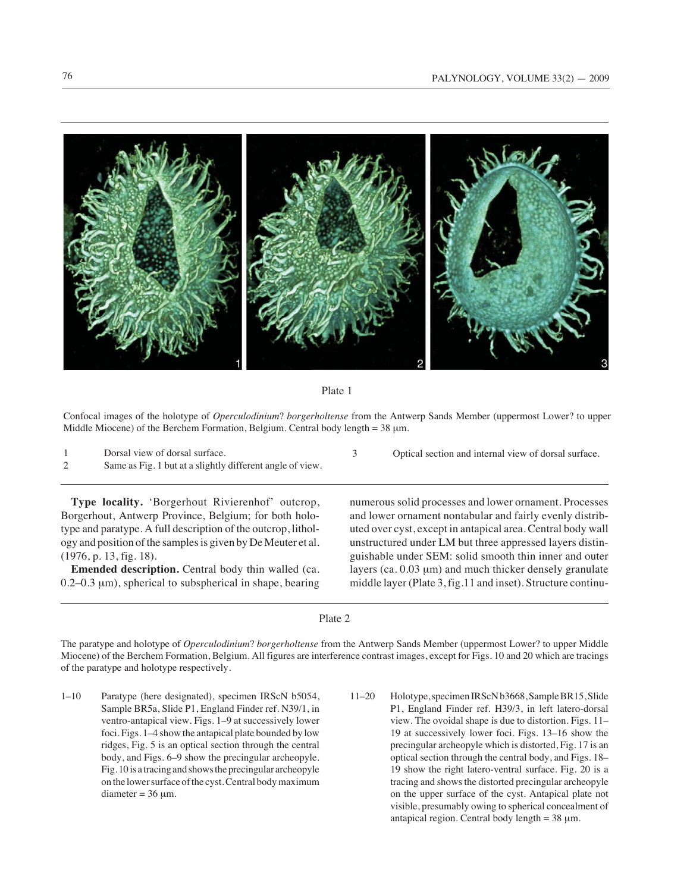



Confocal images of the holotype of *Operculodinium*? *borgerholtense* from the Antwerp Sands Member (uppermost Lower? to upper Middle Miocene) of the Berchem Formation, Belgium. Central body length = 38 μm.

| Dorsal view of dorsal surface.                            | Optical section and internal view of dorsal surface. |
|-----------------------------------------------------------|------------------------------------------------------|
| Same as Fig. 1 but at a slightly different angle of view. |                                                      |

**Type locality.** 'Borgerhout Rivierenhof' outcrop, Borgerhout, Antwerp Province, Belgium; for both holotype and paratype. A full description of the outcrop, lithology and position of the samples is given by De Meuter et al. (1976, p. 13, fig. 18).

**Emended description.** Central body thin walled (ca. 0.2–0.3 μm), spherical to subspherical in shape, bearing numerous solid processes and lower ornament. Processes and lower ornament nontabular and fairly evenly distributed over cyst, except in antapical area. Central body wall unstructured under LM but three appressed layers distinguishable under SEM: solid smooth thin inner and outer layers (ca. 0.03 μm) and much thicker densely granulate middle layer (Plate 3, fig.11 and inset). Structure continu-

Plate 2

The paratype and holotype of *Operculodinium*? *borgerholtense* from the Antwerp Sands Member (uppermost Lower? to upper Middle Miocene) of the Berchem Formation, Belgium. All figures are interference contrast images, except for Figs. 10 and 20 which are tracings of the paratype and holotype respectively.

- 1–10 Paratype (here designated), specimen IRScN b5054, Sample BR5a, Slide P1, England Finder ref. N39/1, in ventro-antapical view. Figs. 1–9 at successively lower foci. Figs. 1–4 show the antapical plate bounded by low ridges, Fig. 5 is an optical section through the central body, and Figs. 6–9 show the precingular archeopyle. Fig. 10 is a tracing and shows the precingular archeopyle on the lower surface of the cyst. Central body maximum  $diameter = 36 \mu m$ .
- 11–20 Holotype, specimen IRScN b3668, Sample BR15, Slide P1, England Finder ref. H39/3, in left latero-dorsal view. The ovoidal shape is due to distortion. Figs. 11– 19 at successively lower foci. Figs. 13–16 show the precingular archeopyle which is distorted, Fig. 17 is an optical section through the central body, and Figs. 18– 19 show the right latero-ventral surface. Fig. 20 is a tracing and shows the distorted precingular archeopyle on the upper surface of the cyst. Antapical plate not visible, presumably owing to spherical concealment of antapical region. Central body length = 38 μm.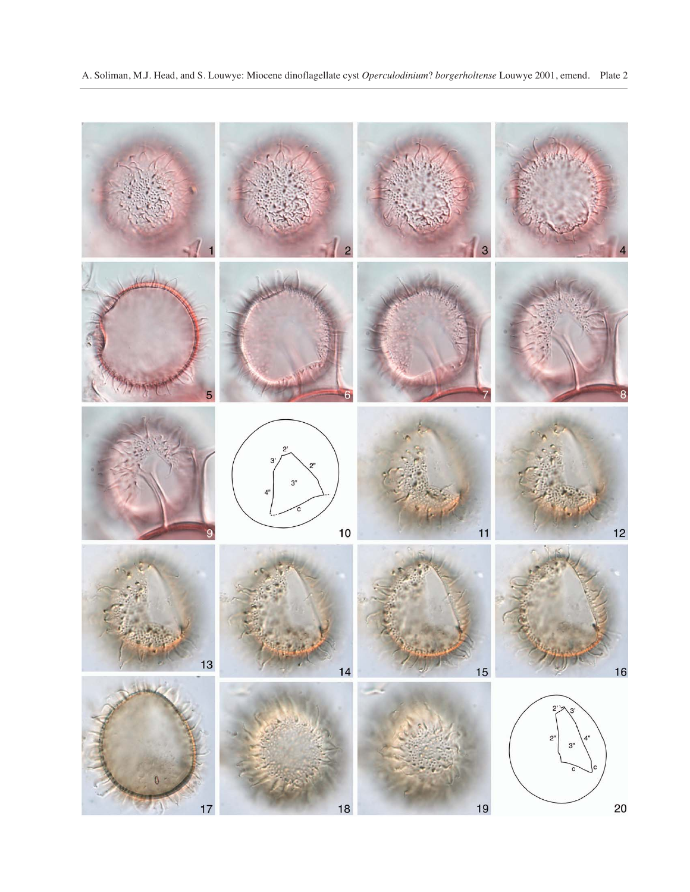

20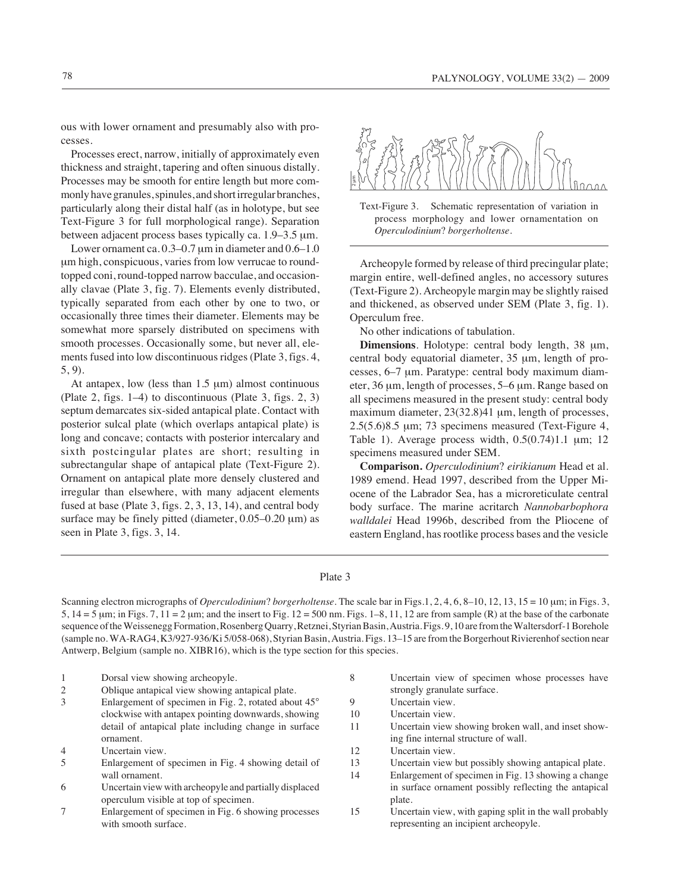ous with lower ornament and presumably also with processes.

Processes erect, narrow, initially of approximately even thickness and straight, tapering and often sinuous distally. Processes may be smooth for entire length but more commonly have granules, spinules, and short irregular branches, particularly along their distal half (as in holotype, but see Text-Figure 3 for full morphological range). Separation between adjacent process bases typically ca. 1.9–3.5 μm.

Lower ornament ca. 0.3–0.7 μm in diameter and 0.6–1.0 μm high, conspicuous, varies from low verrucae to roundtopped coni, round-topped narrow bacculae, and occasionally clavae (Plate 3, fig. 7). Elements evenly distributed, typically separated from each other by one to two, or occasionally three times their diameter. Elements may be somewhat more sparsely distributed on specimens with smooth processes. Occasionally some, but never all, elements fused into low discontinuous ridges (Plate 3, figs. 4, 5, 9).

At antapex, low (less than  $1.5 \mu m$ ) almost continuous (Plate 2, figs. 1–4) to discontinuous (Plate 3, figs. 2, 3) septum demarcates six-sided antapical plate. Contact with posterior sulcal plate (which overlaps antapical plate) is long and concave; contacts with posterior intercalary and sixth postcingular plates are short; resulting in subrectangular shape of antapical plate (Text-Figure 2). Ornament on antapical plate more densely clustered and irregular than elsewhere, with many adjacent elements fused at base (Plate 3, figs. 2, 3, 13, 14), and central body surface may be finely pitted (diameter, 0.05–0.20 μm) as seen in Plate 3, figs. 3, 14.



Text-Figure 3. Schematic representation of variation in process morphology and lower ornamentation on *Operculodinium*? *borgerholtense*.

Archeopyle formed by release of third precingular plate; margin entire, well-defined angles, no accessory sutures (Text-Figure 2). Archeopyle margin may be slightly raised and thickened, as observed under SEM (Plate 3, fig. 1). Operculum free.

No other indications of tabulation.

**Dimensions**. Holotype: central body length, 38 μm, central body equatorial diameter, 35 μm, length of processes, 6–7 μm. Paratype: central body maximum diameter, 36 μm, length of processes, 5–6 μm. Range based on all specimens measured in the present study: central body maximum diameter, 23(32.8)41 μm, length of processes, 2.5(5.6)8.5 μm; 73 specimens measured (Text-Figure 4, Table 1). Average process width, 0.5(0.74)1.1 μm; 12 specimens measured under SEM.

**Comparison.** *Operculodinium*? *eirikianum* Head et al. 1989 emend. Head 1997, described from the Upper Miocene of the Labrador Sea, has a microreticulate central body surface. The marine acritarch *Nannobarbophora walldalei* Head 1996b, described from the Pliocene of eastern England, has rootlike process bases and the vesicle

### Plate 3

Scanning electron micrographs of *Operculodinium*? *borgerholtense.* The scale bar in Figs.1, 2, 4, 6, 8–10, 12, 13, 15 = 10 μm; in Figs. 3,  $5, 14 = 5 \mu m$ ; in Figs. 7,  $11 = 2 \mu m$ ; and the insert to Fig.  $12 = 500 \text{ nm}$ . Figs.  $1 - 8$ ,  $11$ ,  $12$  are from sample (R) at the base of the carbonate sequence of the Weissenegg Formation, Rosenberg Quarry, Retznei, Styrian Basin, Austria. Figs. 9, 10 are from the Waltersdorf-1 Borehole (sample no. WA-RAG4, K3/927-936/Ki 5/058-068), Styrian Basin, Austria. Figs. 13–15 are from the Borgerhout Rivierenhof section near Antwerp, Belgium (sample no. XIBR16), which is the type section for this species.

- 1 Dorsal view showing archeopyle.
- 2 Oblique antapical view showing antapical plate.
- 3 Enlargement of specimen in Fig. 2, rotated about 45° clockwise with antapex pointing downwards, showing detail of antapical plate including change in surface ornament.
- 4 Uncertain view.
- 5 Enlargement of specimen in Fig. 4 showing detail of wall ornament.
- 6 Uncertain view with archeopyle and partially displaced operculum visible at top of specimen.
- 7 Enlargement of specimen in Fig. 6 showing processes with smooth surface.
- 8 Uncertain view of specimen whose processes have strongly granulate surface.
- 9 Uncertain view.
- 10 Uncertain view.
- 11 Uncertain view showing broken wall, and inset showing fine internal structure of wall.
- 12 Uncertain view.
- 13 Uncertain view but possibly showing antapical plate.
- 14 Enlargement of specimen in Fig. 13 showing a change in surface ornament possibly reflecting the antapical plate.
- 15 Uncertain view, with gaping split in the wall probably representing an incipient archeopyle.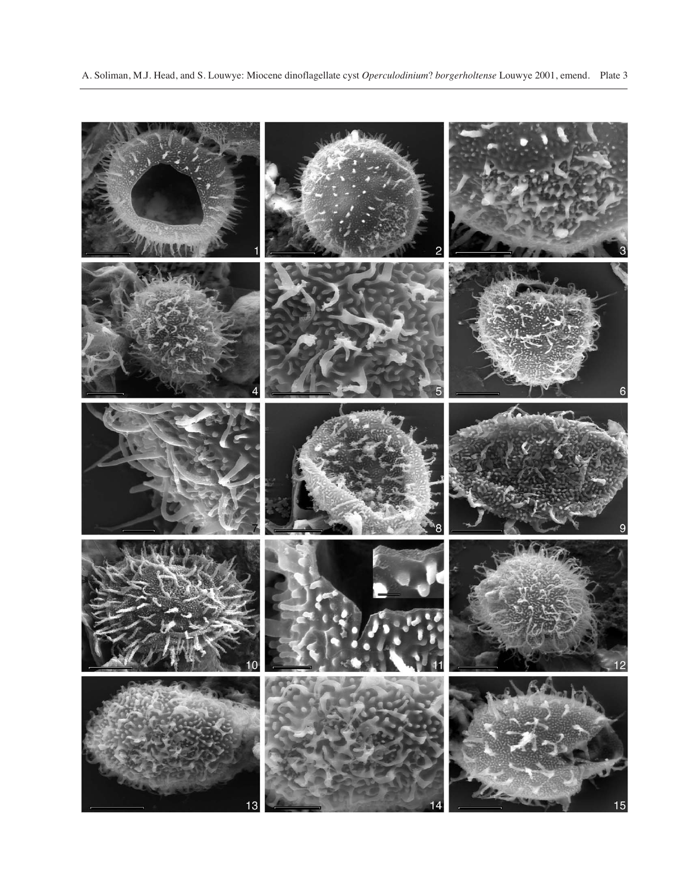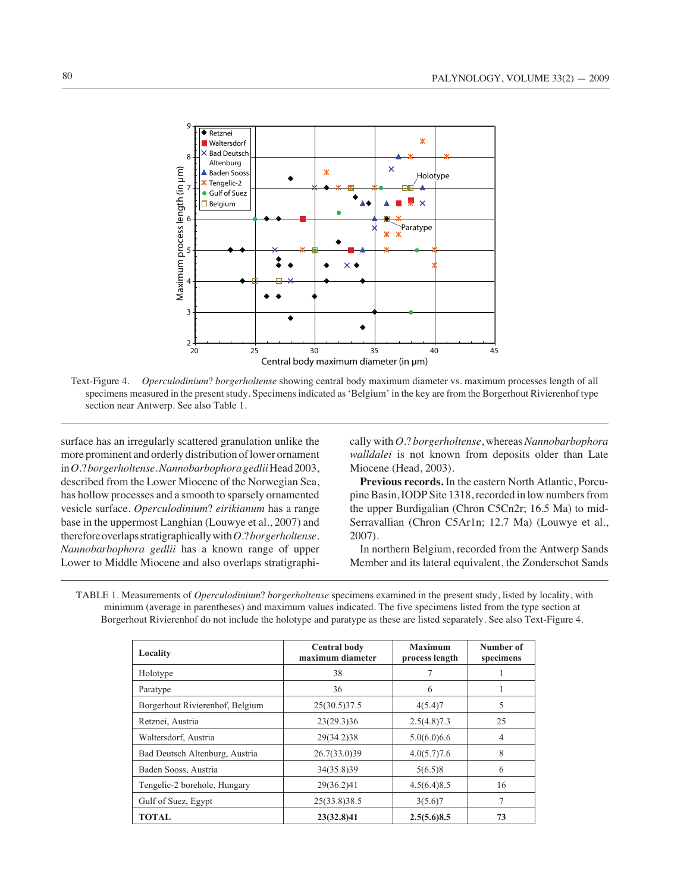

Text-Figure 4. *Operculodinium*? *borgerholtense* showing central body maximum diameter vs. maximum processes length of all specimens measured in the present study. Specimens indicated as 'Belgium' in the key are from the Borgerhout Rivierenhof type section near Antwerp. See also Table 1.

surface has an irregularly scattered granulation unlike the more prominent and orderly distribution of lower ornament in *O*.? *borgerholtense*. *Nannobarbophora gedlii* Head 2003, described from the Lower Miocene of the Norwegian Sea, has hollow processes and a smooth to sparsely ornamented vesicle surface. *Operculodinium*? *eirikianum* has a range base in the uppermost Langhian (Louwye et al., 2007) and therefore overlaps stratigraphically with *O*.? *borgerholtense*. *Nannobarbophora gedlii* has a known range of upper Lower to Middle Miocene and also overlaps stratigraphically with *O*.? *borgerholtense*, whereas *Nannobarbophora walldalei* is not known from deposits older than Late Miocene (Head, 2003).

**Previous records.** In the eastern North Atlantic, Porcupine Basin, IODP Site 1318, recorded in low numbers from the upper Burdigalian (Chron C5Cn2r; 16.5 Ma) to mid-Serravallian (Chron C5Ar1n; 12.7 Ma) (Louwye et al., 2007).

In northern Belgium, recorded from the Antwerp Sands Member and its lateral equivalent, the Zonderschot Sands

| TABLE 1. Measurements of <i>Operculodinium?</i> borgerholtense specimens examined in the present study, listed by locality, with |  |
|----------------------------------------------------------------------------------------------------------------------------------|--|
| minimum (average in parentheses) and maximum values indicated. The five specimens listed from the type section at                |  |
| Borgerhout Rivierenhof do not include the holotype and paratype as these are listed separately. See also Text-Figure 4.          |  |

| Locality                        | <b>Central body</b><br>maximum diameter | <b>Maximum</b><br>process length | Number of<br>specimens |
|---------------------------------|-----------------------------------------|----------------------------------|------------------------|
| Holotype                        | 38                                      |                                  |                        |
| Paratype                        | 36                                      | 6                                |                        |
| Borgerhout Rivierenhof, Belgium | 25(30.5)37.5                            | 4(5.4)7                          | 5                      |
| Retznei, Austria                | 23(29.3)36                              | 2.5(4.8)7.3                      | 25                     |
| Waltersdorf, Austria            | 29(34.2)38                              | 5.0(6.0)6.6                      | 4                      |
| Bad Deutsch Altenburg, Austria  | 26.7(33.0)39                            | 4.0(5.7)7.6                      | 8                      |
| Baden Sooss, Austria            | 34(35.8)39                              | 5(6.5)8                          | 6                      |
| Tengelic-2 borehole, Hungary    | 29(36.2)41                              | 4.5(6.4)8.5                      | 16                     |
| Gulf of Suez, Egypt             | 25(33.8)38.5                            | 3(5.6)7                          |                        |
| <b>TOTAL</b>                    | 23(32.8)41                              | 2.5(5.6)8.5                      | 73                     |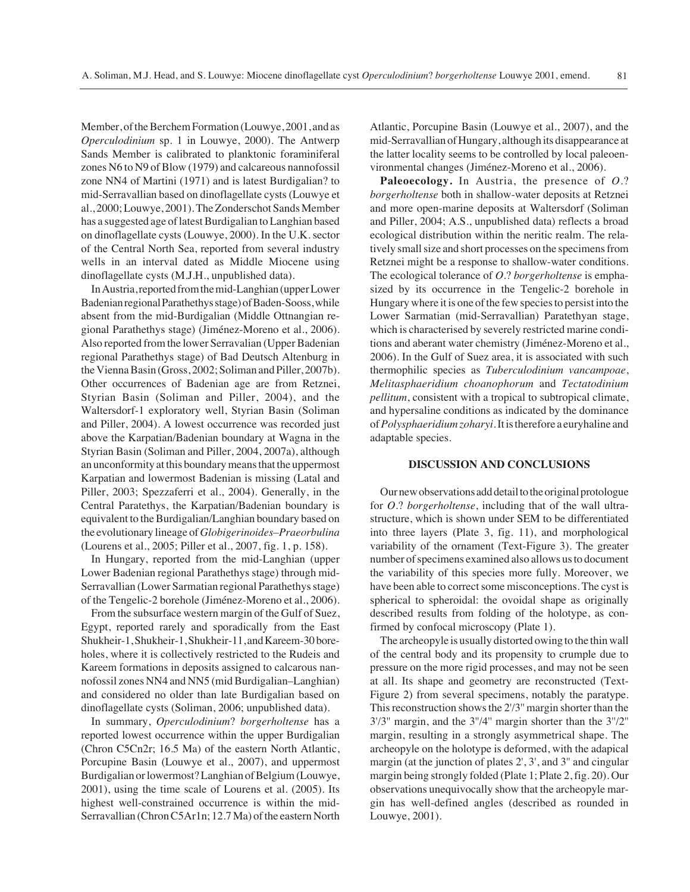Member, of the Berchem Formation (Louwye, 2001, and as *Operculodinium* sp. 1 in Louwye, 2000). The Antwerp Sands Member is calibrated to planktonic foraminiferal zones N6 to N9 of Blow (1979) and calcareous nannofossil zone NN4 of Martini (1971) and is latest Burdigalian? to mid-Serravallian based on dinoflagellate cysts (Louwye et al., 2000; Louwye, 2001). The Zonderschot Sands Member has a suggested age of latest Burdigalian to Langhian based on dinoflagellate cysts (Louwye, 2000). In the U.K. sector of the Central North Sea, reported from several industry wells in an interval dated as Middle Miocene using dinoflagellate cysts (M.J.H., unpublished data).

In Austria, reported from the mid-Langhian (upper Lower Badenian regional Parathethys stage) of Baden-Sooss, while absent from the mid-Burdigalian (Middle Ottnangian regional Parathethys stage) (Jiménez-Moreno et al., 2006). Also reported from the lower Serravalian (Upper Badenian regional Parathethys stage) of Bad Deutsch Altenburg in the Vienna Basin (Gross, 2002; Soliman and Piller, 2007b). Other occurrences of Badenian age are from Retznei, Styrian Basin (Soliman and Piller, 2004), and the Waltersdorf-1 exploratory well, Styrian Basin (Soliman and Piller, 2004). A lowest occurrence was recorded just above the Karpatian/Badenian boundary at Wagna in the Styrian Basin (Soliman and Piller, 2004, 2007a), although an unconformity at this boundary means that the uppermost Karpatian and lowermost Badenian is missing (Latal and Piller, 2003; Spezzaferri et al., 2004). Generally, in the Central Paratethys, the Karpatian/Badenian boundary is equivalent to the Burdigalian/Langhian boundary based on the evolutionary lineage of *Globigerinoides*–*Praeorbulina* (Lourens et al., 2005; Piller et al., 2007, fig. 1, p. 158).

In Hungary, reported from the mid-Langhian (upper Lower Badenian regional Parathethys stage) through mid-Serravallian (Lower Sarmatian regional Parathethys stage) of the Tengelic-2 borehole (Jiménez-Moreno et al., 2006).

From the subsurface western margin of the Gulf of Suez, Egypt, reported rarely and sporadically from the East Shukheir-1, Shukheir-1, Shukheir-11, and Kareem-30 boreholes, where it is collectively restricted to the Rudeis and Kareem formations in deposits assigned to calcarous nannofossil zones NN4 and NN5 (mid Burdigalian–Langhian) and considered no older than late Burdigalian based on dinoflagellate cysts (Soliman, 2006; unpublished data).

In summary, *Operculodinium*? *borgerholtense* has a reported lowest occurrence within the upper Burdigalian (Chron C5Cn2r; 16.5 Ma) of the eastern North Atlantic, Porcupine Basin (Louwye et al., 2007), and uppermost Burdigalian or lowermost? Langhian of Belgium (Louwye, 2001), using the time scale of Lourens et al. (2005). Its highest well-constrained occurrence is within the mid-Serravallian (Chron C5Ar1n; 12.7 Ma) of the eastern North

Atlantic, Porcupine Basin (Louwye et al., 2007), and the mid-Serravallian of Hungary, although its disappearance at the latter locality seems to be controlled by local paleoenvironmental changes (Jiménez-Moreno et al., 2006).

**Paleoecology.** In Austria, the presence of *O.*? *borgerholtense* both in shallow-water deposits at Retznei and more open-marine deposits at Waltersdorf (Soliman and Piller, 2004; A.S., unpublished data) reflects a broad ecological distribution within the neritic realm. The relatively small size and short processes on the specimens from Retznei might be a response to shallow-water conditions. The ecological tolerance of *O.*? *borgerholtense* is emphasized by its occurrence in the Tengelic-2 borehole in Hungary where it is one of the few species to persist into the Lower Sarmatian (mid-Serravallian) Paratethyan stage, which is characterised by severely restricted marine conditions and aberant water chemistry (Jiménez-Moreno et al., 2006). In the Gulf of Suez area, it is associated with such thermophilic species as *Tuberculodinium vancampoae*, *Melitasphaeridium choanophorum* and *Tectatodinium pellitum*, consistent with a tropical to subtropical climate, and hypersaline conditions as indicated by the dominance of *Polysphaeridiumzoharyi*. It is therefore a euryhaline and adaptable species.

### **DISCUSSION AND CONCLUSIONS**

Our new observations add detail to the original protologue for *O*.? *borgerholtense*, including that of the wall ultrastructure, which is shown under SEM to be differentiated into three layers (Plate 3, fig. 11), and morphological variability of the ornament (Text-Figure 3). The greater number of specimens examined also allows us to document the variability of this species more fully. Moreover, we have been able to correct some misconceptions. The cyst is spherical to spheroidal: the ovoidal shape as originally described results from folding of the holotype, as confirmed by confocal microscopy (Plate 1).

The archeopyle is usually distorted owing to the thin wall of the central body and its propensity to crumple due to pressure on the more rigid processes, and may not be seen at all. Its shape and geometry are reconstructed (Text-Figure 2) from several specimens, notably the paratype. This reconstruction shows the 2'/3'' margin shorter than the 3'/3'' margin, and the 3''/4'' margin shorter than the 3''/2'' margin, resulting in a strongly asymmetrical shape. The archeopyle on the holotype is deformed, with the adapical margin (at the junction of plates 2', 3', and 3'' and cingular margin being strongly folded (Plate 1; Plate 2, fig. 20). Our observations unequivocally show that the archeopyle margin has well-defined angles (described as rounded in Louwye, 2001).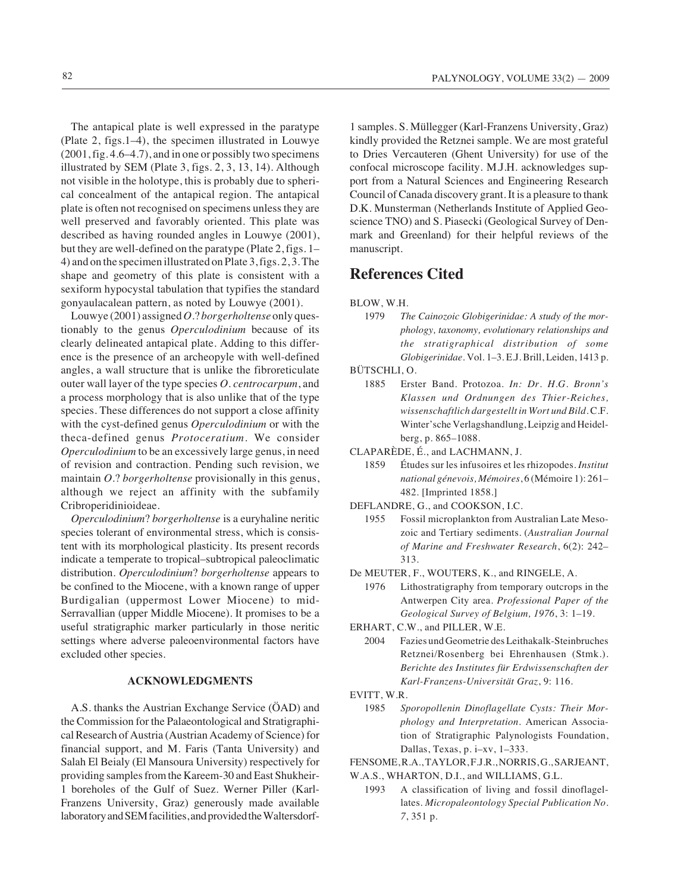The antapical plate is well expressed in the paratype (Plate 2, figs.1–4), the specimen illustrated in Louwye (2001, fig. 4.6–4.7), and in one or possibly two specimens illustrated by SEM (Plate 3, figs. 2, 3, 13, 14). Although not visible in the holotype, this is probably due to spherical concealment of the antapical region. The antapical plate is often not recognised on specimens unless they are well preserved and favorably oriented. This plate was described as having rounded angles in Louwye (2001), but they are well-defined on the paratype (Plate 2, figs. 1– 4) and on the specimen illustrated on Plate 3, figs. 2, 3. The shape and geometry of this plate is consistent with a sexiform hypocystal tabulation that typifies the standard gonyaulacalean pattern, as noted by Louwye (2001).

Louwye (2001) assigned *O*.? *borgerholtense* only questionably to the genus *Operculodinium* because of its clearly delineated antapical plate. Adding to this difference is the presence of an archeopyle with well-defined angles, a wall structure that is unlike the fibroreticulate outer wall layer of the type species *O. centrocarpum*, and a process morphology that is also unlike that of the type species. These differences do not support a close affinity with the cyst-defined genus *Operculodinium* or with the theca-defined genus *Protoceratium*. We consider *Operculodinium* to be an excessively large genus, in need of revision and contraction. Pending such revision, we maintain *O*.? *borgerholtense* provisionally in this genus, although we reject an affinity with the subfamily Cribroperidinioideae.

*Operculodinium*? *borgerholtense* is a euryhaline neritic species tolerant of environmental stress, which is consistent with its morphological plasticity. Its present records indicate a temperate to tropical–subtropical paleoclimatic distribution. *Operculodinium*? *borgerholtense* appears to be confined to the Miocene, with a known range of upper Burdigalian (uppermost Lower Miocene) to mid-Serravallian (upper Middle Miocene). It promises to be a useful stratigraphic marker particularly in those neritic settings where adverse paleoenvironmental factors have excluded other species.

# **ACKNOWLEDGMENTS**

A.S. thanks the Austrian Exchange Service (ÖAD) and the Commission for the Palaeontological and Stratigraphical Research of Austria (Austrian Academy of Science) for financial support, and M. Faris (Tanta University) and Salah El Beialy (El Mansoura University) respectively for providing samples from the Kareem-30 and East Shukheir-1 boreholes of the Gulf of Suez. Werner Piller (Karl-Franzens University, Graz) generously made available laboratory and SEM facilities, and provided the Waltersdorf-

1 samples. S. Müllegger (Karl-Franzens University, Graz) kindly provided the Retznei sample. We are most grateful to Dries Vercauteren (Ghent University) for use of the confocal microscope facility. M.J.H. acknowledges support from a Natural Sciences and Engineering Research Council of Canada discovery grant. It is a pleasure to thank D.K. Munsterman (Netherlands Institute of Applied Geoscience TNO) and S. Piasecki (Geological Survey of Denmark and Greenland) for their helpful reviews of the manuscript.

# **References Cited**

- 1979 *The Cainozoic Globigerinidae: A study of the morphology, taxonomy, evolutionary relationships and the stratigraphical distribution of some Globigerinidae*. Vol. 1–3. E.J. Brill, Leiden, 1413 p.
- BÜTSCHLI, O.
	- 1885 Erster Band. Protozoa. *In: Dr. H.G. Bronn's Klassen und Ordnungen des Thier-Reiches, wissenschaftlich dargestellt in Wort und Bild.* C.F. Winter'sche Verlagshandlung, Leipzig and Heidelberg, p. 865–1088.

CLAPARÈDE, É., and LACHMANN, J.

- 1859 Études sur les infusoires et les rhizopodes. *Institut national génevois, Mémoires*, 6 (Mémoire 1): 261– 482. [Imprinted 1858.]
- DEFLANDRE, G., and COOKSON, I.C.
	- 1955 Fossil microplankton from Australian Late Mesozoic and Tertiary sediments. (*Australian Journal of Marine and Freshwater Research*, 6(2): 242– 313.
- De MEUTER, F., WOUTERS, K., and RINGELE, A.
	- 1976 Lithostratigraphy from temporary outcrops in the Antwerpen City area. *Professional Paper of the Geological Survey of Belgium, 1976*, 3: 1–19.
- ERHART, C.W., and PILLER, W.E.
	- 2004 Fazies und Geometrie des Leithakalk-Steinbruches Retznei/Rosenberg bei Ehrenhausen (Stmk.). *Berichte des Institutes für Erdwissenschaften der Karl-Franzens-Universität Graz*, 9: 116.
- EVITT, W.R.
	- 1985 *Sporopollenin Dinoflagellate Cysts: Their Morphology and Interpretation*. American Association of Stratigraphic Palynologists Foundation, Dallas, Texas, p. i–xv, 1–333.
- FENSOME, R.A., TAYLOR, F.J.R., NORRIS, G., SARJEANT,
- W.A.S., WHARTON, D.I., and WILLIAMS, G.L.
	- 1993 A classification of living and fossil dinoflagellates. *Micropaleontology Special Publication No. 7*, 351 p.

BLOW, W.H.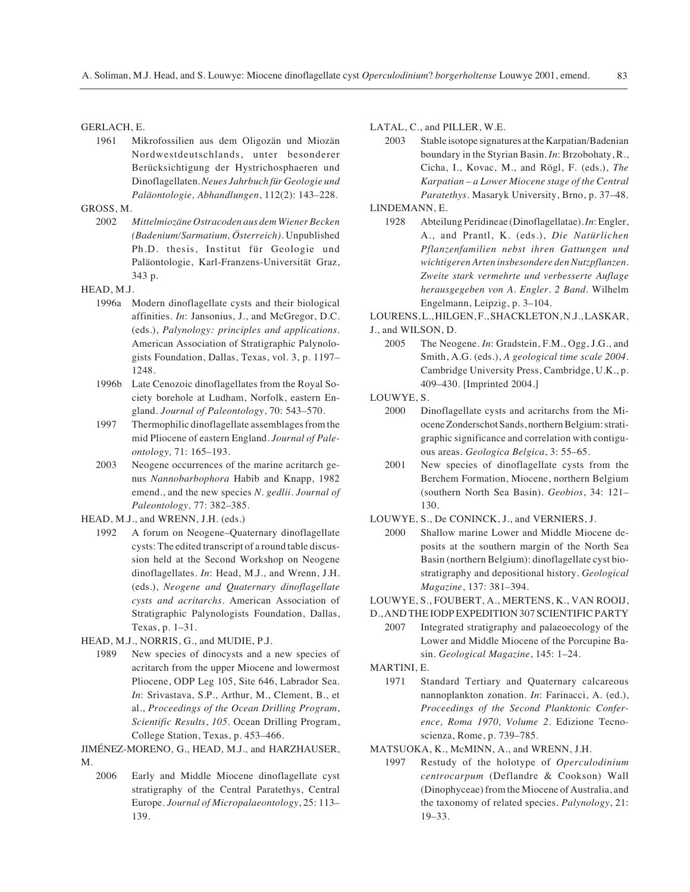### GERLACH, E.

1961 Mikrofossilien aus dem Oligozän und Miozän Nordwestdeutschlands, unter besonderer Berücksichtigung der Hystrichosphaeren und Dinoflagellaten. *Neues Jahrbuch für Geologie und Paläontologie, Abhandlungen*, 112(2): 143–228.

### GROSS, M.

2002 *Mittelmiozäne Ostracoden aus dem Wiener Becken (Badenium/Sarmatium, Österreich)*. Unpublished Ph.D. thesis, Institut für Geologie und Paläontologie, Karl-Franzens-Universität Graz, 343 p.

### HEAD, M.J.

- 1996a Modern dinoflagellate cysts and their biological affinities. *In*: Jansonius, J., and McGregor, D.C. (eds.), *Palynology: principles and applications*. American Association of Stratigraphic Palynologists Foundation, Dallas, Texas, vol. 3, p. 1197– 1248.
- 1996b Late Cenozoic dinoflagellates from the Royal Society borehole at Ludham, Norfolk, eastern England. *Journal of Paleontology*, 70: 543–570.
- 1997 Thermophilic dinoflagellate assemblages from the mid Pliocene of eastern England. *Journal of Paleontology,* 71: 165–193.
- 2003 Neogene occurrences of the marine acritarch genus *Nannobarbophora* Habib and Knapp, 1982 emend., and the new species *N. gedlii*. *Journal of Paleontology,* 77: 382–385.
- HEAD, M.J., and WRENN, J.H. (eds.)
	- 1992 A forum on Neogene–Quaternary dinoflagellate cysts: The edited transcript of a round table discussion held at the Second Workshop on Neogene dinoflagellates. *In*: Head, M.J., and Wrenn, J.H. (eds.), *Neogene and Quaternary dinoflagellate cysts and acritarchs*. American Association of Stratigraphic Palynologists Foundation, Dallas, Texas, p. 1–31.
- HEAD, M.J., NORRIS, G., and MUDIE, P.J.
	- 1989 New species of dinocysts and a new species of acritarch from the upper Miocene and lowermost Pliocene, ODP Leg 105, Site 646, Labrador Sea. *In*: Srivastava, S.P., Arthur, M., Clement, B., et al., *Proceedings of the Ocean Drilling Program*, *Scientific Results*, *105*. Ocean Drilling Program, College Station, Texas, p. 453–466.
- JIMÉNEZ-MORENO, G., HEAD, M.J., and HARZHAUSER, M.
	- 2006 Early and Middle Miocene dinoflagellate cyst stratigraphy of the Central Paratethys, Central Europe. *Journal of Micropalaeontology*, 25: 113– 139.

### LATAL, C., and PILLER, W.E.

- 2003 Stable isotope signatures at the Karpatian/Badenian boundary in the Styrian Basin. *In*: Brzobohaty, R., Cicha, I., Kovac, M., and Rögl, F. (eds.), *The Karpatian – a Lower Miocene stage of the Central Paratethys*. Masaryk University, Brno, p. 37–48.
- LINDEMANN, E.
	- 1928 Abteilung Peridineae (Dinoflagellatae). *In*: Engler, A., and Prantl, K. (eds.), *Die Natürlichen Pflanzenfamilien nebst ihren Gattungen und wichtigeren Arten insbesondere den Nutzpflanzen. Zweite stark vermehrte und verbesserte Auflage herausgegeben von A. Engler. 2 Band.* Wilhelm Engelmann, Leipzig, p. 3–104.

LOURENS, L., HILGEN, F., SHACKLETON, N.J., LASKAR,

### J., and WILSON, D.

2005 The Neogene. *In*: Gradstein, F.M., Ogg, J.G., and Smith, A.G. (eds.), *A geological time scale 2004*. Cambridge University Press, Cambridge, U.K., p. 409–430. [Imprinted 2004.]

LOUWYE, S.

- 2000 Dinoflagellate cysts and acritarchs from the Miocene Zonderschot Sands, northern Belgium: stratigraphic significance and correlation with contiguous areas. *Geologica Belgica*, 3: 55–65.
- 2001 New species of dinoflagellate cysts from the Berchem Formation, Miocene, northern Belgium (southern North Sea Basin). *Geobios*, 34: 121– 130.

LOUWYE, S., De CONINCK, J., and VERNIERS, J.

2000 Shallow marine Lower and Middle Miocene deposits at the southern margin of the North Sea Basin (northern Belgium): dinoflagellate cyst biostratigraphy and depositional history. *Geological Magazine*, 137: 381–394.

### LOUWYE, S., FOUBERT, A., MERTENS, K., VAN ROOIJ,

- D., AND THE IODP EXPEDITION 307 SCIENTIFIC PARTY 2007 Integrated stratigraphy and palaeoecology of the Lower and Middle Miocene of the Porcupine Ba
	- sin. *Geological Magazine*, 145: 1–24.
- MARTINI, E.
	- 1971 Standard Tertiary and Quaternary calcareous nannoplankton zonation. *In*: Farinacci, A. (ed.), *Proceedings of the Second Planktonic Conference, Roma 1970, Volume 2*. Edizione Tecnoscienza, Rome, p. 739–785.
- MATSUOKA, K., McMINN, A., and WRENN, J.H.
	- 1997 Restudy of the holotype of *Operculodinium centrocarpum* (Deflandre & Cookson) Wall (Dinophyceae) from the Miocene of Australia, and the taxonomy of related species. *Palynology*, 21: 19–33.